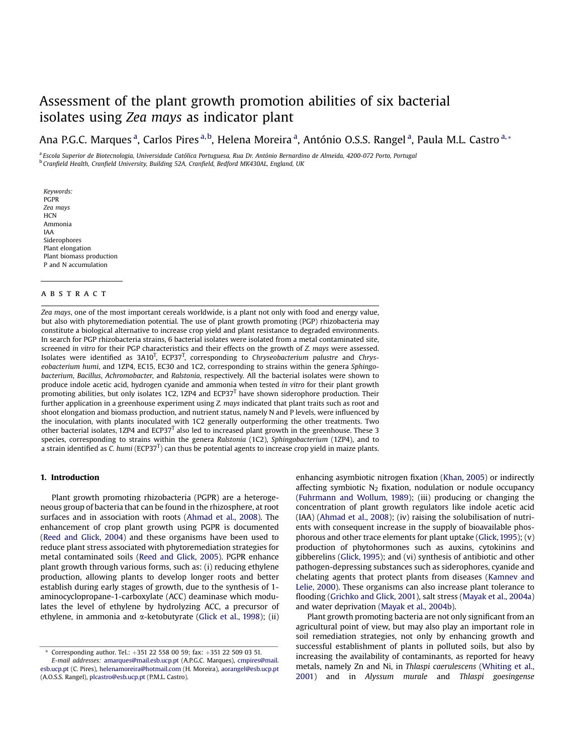# Assessment of the plant growth promotion abilities of six bacterial isolates using Zea mays as indicator [plant](http://www.elsevier.com/locate/soilbio)

Ana P.G.C. Marques <sup>a</sup>, Carlos Pires <sup>a,b</sup>, Helena Moreira <sup>a</sup>, António O.S.S. Rangel <sup>a</sup>, Paula M.L. Castro <sup>a,</sup>\*

a Escola Superior de Biotecnologia, Universidade Católica Portuguesa, Rua Dr. António Bernardino de Almeida, 4200-072 Porto, Portugal <sup>b</sup> Cranfield Health, Cranfield University, Building 52A, Cranfield, Bedford MK430AL, England, UK

Keywords: PGPR Zea mays **HCN** Ammonia IAA Siderophores Plant elongation Plant biomass production P and N accumulation

# ABSTRACT

Zea mays, one of the most important cereals worldwide, is a plant not only with food and energy value, but also with phytoremediation potential. The use of plant growth promoting (PGP) rhizobacteria may constitute a biological alternative to increase crop yield and plant resistance to degraded environments. In search for PGP rhizobacteria strains, 6 bacterial isolates were isolated from a metal contaminated site, screened in vitro for their PGP characteristics and their effects on the growth of Z. mays were assessed. Isolates were identified as  $3A10<sup>T</sup>$ , ECP37<sup>T</sup>, corresponding to Chryseobacterium palustre and Chryseobacterium humi, and 1ZP4, EC15, EC30 and 1C2, corresponding to strains within the genera Sphingobacterium, Bacillus, Achromobacter, and Ralstonia, respectively. All the bacterial isolates were shown to produce indole acetic acid, hydrogen cyanide and ammonia when tested in vitro for their plant growth promoting abilities, but only isolates 1C2, 1ZP4 and ECP37 $<sup>T</sup>$  have shown siderophore production. Their</sup> further application in a greenhouse experiment using Z. mays indicated that plant traits such as root and shoot elongation and biomass production, and nutrient status, namely N and P levels, were influenced by the inoculation, with plants inoculated with 1C2 generally outperforming the other treatments. Two other bacterial isolates, 1ZP4 and  $ECP37<sup>T</sup>$  also led to increased plant growth in the greenhouse. These 3 species, corresponding to strains within the genera Ralstonia (1C2), Sphingobacterium (1ZP4), and to a strain identified as C. humi (ECP37<sup>T</sup>) can thus be potential agents to increase crop yield in maize plants.

# 1. Introduction

Plant growth promoting rhizobacteria (PGPR) are a heterogeneous group of bacteria that can be found in the rhizosphere, at root surfaces and in association with roots ([Ahmad et al., 2008](#page-6-0)). The enhancement of crop plant growth using PGPR is documented ([Reed and Glick, 2004\)](#page-6-0) and these organisms have been used to reduce plant stress associated with phytoremediation strategies for metal contaminated soils ([Reed and Glick, 2005\)](#page-6-0). PGPR enhance plant growth through various forms, such as: (i) reducing ethylene production, allowing plants to develop longer roots and better establish during early stages of growth, due to the synthesis of 1 aminocyclopropane-1-carboxylate (ACC) deaminase which modulates the level of ethylene by hydrolyzing ACC, a precursor of ethylene, in ammonia and  $\alpha$ -ketobutyrate ([Glick et al., 1998\)](#page-6-0); (ii)

enhancing asymbiotic nitrogen fixation ([Khan, 2005](#page-6-0)) or indirectly affecting symbiotic  $N_2$  fixation, nodulation or nodule occupancy ([Fuhrmann and Wollum, 1989](#page-6-0)); (iii) producing or changing the concentration of plant growth regulators like indole acetic acid (IAA) ([Ahmad et al., 2008](#page-6-0)); (iv) raising the solubilisation of nutrients with consequent increase in the supply of bioavailable phosphorous and other trace elements for plant uptake ([Glick, 1995](#page-6-0)); (v) production of phytohormones such as auxins, cytokinins and gibberelins ([Glick, 1995\)](#page-6-0); and (vi) synthesis of antibiotic and other pathogen-depressing substances such as siderophores, cyanide and chelating agents that protect plants from diseases ([Kamnev and](#page-6-0) [Lelie, 2000](#page-6-0)). These organisms can also increase plant tolerance to flooding ([Grichko and Glick, 2001\)](#page-6-0), salt stress ([Mayak et al., 2004a\)](#page-6-0) and water deprivation [\(Mayak et al., 2004b](#page-6-0)).

Plant growth promoting bacteria are not only significant from an agricultural point of view, but may also play an important role in soil remediation strategies, not only by enhancing growth and successful establishment of plants in polluted soils, but also by increasing the availability of contaminants, as reported for heavy metals, namely Zn and Ni, in Thlaspi caerulescens ([Whiting et al.,](#page-6-0) [2001](#page-6-0)) and in Alyssum murale and Thlaspi goesingense

Corresponding author. Tel.:  $+351$  22 558 00 59; fax:  $+351$  22 509 03 51.

E-mail addresses: [amarques@mail.esb.ucp.pt](mailto:amarques@mail.esb.ucp.pt) (A.P.G.C. Marques), [cmpires@mail.](mailto:cmpires@mail.esb.ucp.pt) [esb.ucp.pt](mailto:cmpires@mail.esb.ucp.pt) (C. Pires), [helenamoreira@hotmail.com](mailto:helenamoreira@hotmail.com) (H. Moreira), [aorangel@esb.ucp.pt](mailto:aorangel@esb.ucp.pt) (A.O.S.S. Rangel), [plcastro@esb.ucp.pt](mailto:plcastro@esb.ucp.pt) (P.M.L. Castro).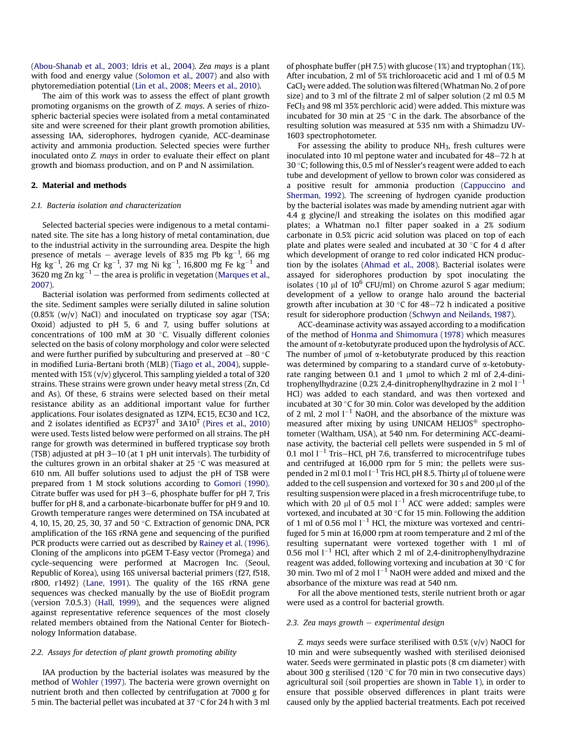([Abou-Shanab et al., 2003; Idris et al., 2004\)](#page-6-0). Zea mays is a plant with food and energy value ([Solomon et al., 2007](#page-6-0)) and also with phytoremediation potential [\(Lin et al., 2008; Meers et al., 2010](#page-6-0)).

The aim of this work was to assess the effect of plant growth promoting organisms on the growth of Z. mays. A series of rhizospheric bacterial species were isolated from a metal contaminated site and were screened for their plant growth promotion abilities, assessing IAA, siderophores, hydrogen cyanide, ACC-deaminase activity and ammonia production. Selected species were further inoculated onto Z. mays in order to evaluate their effect on plant growth and biomass production, and on P and N assimilation.

## 2. Material and methods

#### 2.1. Bacteria isolation and characterization

Selected bacterial species were indigenous to a metal contaminated site. The site has a long history of metal contamination, due to the industrial activity in the surrounding area. Despite the high presence of metals – average levels of 835 mg Pb  $\text{kg}^{-1}$ , 66 mg Hg kg $^{-1}$ , 26 mg Cr kg $^{-1}$ , 37 mg Ni kg $^{-1}$ , 16,800 mg Fe kg $^{-1}$  and 3620 mg Zn kg $^{-1}$  – the area is prolific in vegetation ([Marques et al.,](#page-6-0) [2007\)](#page-6-0).

Bacterial isolation was performed from sediments collected at the site. Sediment samples were serially diluted in saline solution (0.85% (w/v) NaCl) and inoculated on trypticase soy agar (TSA; Oxoid) adjusted to pH 5, 6 and 7, using buffer solutions at concentrations of 100 mM at 30 $\degree$ C. Visually different colonies selected on the basis of colony morphology and color were selected and were further purified by subculturing and preserved at  $-80^{\circ}$ C in modified Luria-Bertani broth (MLB) ([Tiago et al., 2004\)](#page-6-0), supplemented with 15% (v/v) glycerol. This sampling yielded a total of 320 strains. These strains were grown under heavy metal stress (Zn, Cd and As). Of these, 6 strains were selected based on their metal resistance ability as an additional important value for further applications. Four isolates designated as 1ZP4, EC15, EC30 and 1C2, and 2 isolates identified as  $ECP37<sup>T</sup>$  and  $3A10<sup>T</sup>$  ([Pires et al., 2010\)](#page-6-0) were used. Tests listed below were performed on all strains. The pH range for growth was determined in buffered trypticase soy broth (TSB) adjusted at pH  $3-10$  (at 1 pH unit intervals). The turbidity of the cultures grown in an orbital shaker at  $25^{\circ}$ C was measured at 610 nm. All buffer solutions used to adjust the pH of TSB were prepared from 1 M stock solutions according to [Gomori \(1990\).](#page-6-0) Citrate buffer was used for  $pH$  3–6, phosphate buffer for  $pH$  7, Tris buffer for pH 8, and a carbonate-bicarbonate buffer for pH 9 and 10. Growth temperature ranges were determined on TSA incubated at 4, 10, 15, 20, 25, 30, 37 and 50 °C. Extraction of genomic DNA, PCR amplification of the 16S rRNA gene and sequencing of the purified PCR products were carried out as described by [Rainey et al. \(1996\)](#page-6-0). Cloning of the amplicons into pGEM T-Easy vector (Promega) and cycle-sequencing were performed at Macrogen Inc. (Seoul, Republic of Korea), using 16S universal bacterial primers (f27, f518, r800, r1492) ([Lane, 1991\)](#page-6-0). The quality of the 16S rRNA gene sequences was checked manually by the use of BioEdit program (version 7.0.5.3) [\(Hall, 1999](#page-6-0)), and the sequences were aligned against representative reference sequences of the most closely related members obtained from the National Center for Biotechnology Information database.

#### 2.2. Assays for detection of plant growth promoting ability

IAA production by the bacterial isolates was measured by the method of [Wohler \(1997\).](#page-6-0) The bacteria were grown overnight on nutrient broth and then collected by centrifugation at 7000 g for 5 min. The bacterial pellet was incubated at 37  $\degree$ C for 24 h with 3 ml of phosphate buffer (pH 7.5) with glucose (1%) and tryptophan (1%). After incubation, 2 ml of 5% trichloroacetic acid and 1 ml of 0.5 M CaCl2 were added. The solution was filtered (Whatman No. 2 of pore size) and to 3 ml of the filtrate 2 ml of salper solution (2 ml 0.5 M FeCl<sub>3</sub> and 98 ml 35% perchloric acid) were added. This mixture was incubated for 30 min at 25  $\degree$ C in the dark. The absorbance of the resulting solution was measured at 535 nm with a Shimadzu UV-1603 spectrophotometer.

For assessing the ability to produce NH3, fresh cultures were inoculated into 10 ml peptone water and incubated for  $48-72$  h at 30 °C; following this, 0.5 ml of Nessler's reagent were added to each tube and development of yellow to brown color was considered as a positive result for ammonia production [\(Cappuccino and](#page-6-0) [Sherman, 1992](#page-6-0)). The screening of hydrogen cyanide production by the bacterial isolates was made by amending nutrient agar with 4.4 g glycine/l and streaking the isolates on this modified agar plates; a Whatman no.1 filter paper soaked in a 2% sodium carbonate in 0.5% picric acid solution was placed on top of each plate and plates were sealed and incubated at 30  $\degree$ C for 4 d after which development of orange to red color indicated HCN production by the isolates [\(Ahmad et al., 2008\)](#page-6-0). Bacterial isolates were assayed for siderophores production by spot inoculating the isolates (10  $\mu$ l of 10<sup>6</sup> CFU/ml) on Chrome azurol S agar medium; development of a yellow to orange halo around the bacterial growth after incubation at 30 $\degree$ C for 48-72 h indicated a positive result for siderophore production ([Schwyn and Neilands, 1987\)](#page-6-0).

ACC-deaminase activity was assayed according to a modification of the method of [Honma and Shimomura \(1978\)](#page-6-0) which measures the amount of a-ketobutyrate produced upon the hydrolysis of ACC. The number of  $\mu$ mol of  $\alpha$ -ketobutyrate produced by this reaction was determined by comparing to a standard curve of  $\alpha$ -ketobutyrate ranging between 0.1 and 1  $\mu$ mol to which 2 ml of 2,4-dinitrophenylhydrazine (0.2% 2,4-dinitrophenylhydrazine in 2 mol  $l^{-1}$ HCl) was added to each standard, and was then vortexed and incubated at 30 $\degree$ C for 30 min. Color was developed by the addition of 2 ml, 2 mol  $l^{-1}$  NaOH, and the absorbance of the mixture was measured after mixing by using UNICAM HELIOS<sup>®</sup> spectrophotometer (Waltham, USA), at 540 nm. For determining ACC-deaminase activity, the bacterial cell pellets were suspended in 5 ml of 0.1 mol  $I^{-1}$  Tris–HCl, pH 7.6, transferred to microcentrifuge tubes and centrifuged at 16,000 rpm for 5 min; the pellets were suspended in 2 ml 0.1 mol  $l^{-1}$  Tris HCl, pH 8.5. Thirty  $\mu$ l of toluene were added to the cell suspension and vortexed for 30 s and 200  $\mu$ l of the resulting suspension were placed in a fresh microcentrifuge tube, to which with 20  $\mu$ l of 0.5 mol  $l^{-1}$  ACC were added; samples were vortexed, and incubated at 30  $\degree$ C for 15 min. Following the addition of 1 ml of 0.56 mol  $l^{-1}$  HCl, the mixture was vortexed and centrifuged for 5 min at 16,000 rpm at room temperature and 2 ml of the resulting supernatant were vortexed together with 1 ml of 0.56 mol  $1^{-1}$  HCl, after which 2 ml of 2,4-dinitrophenylhydrazine reagent was added, following vortexing and incubation at 30 $\degree$ C for 30 min. Two ml of 2 mol  $l^{-1}$  NaOH were added and mixed and the absorbance of the mixture was read at 540 nm.

For all the above mentioned tests, sterile nutrient broth or agar were used as a control for bacterial growth.

## 2.3. Zea mays growth  $-$  experimental design

Z. mays seeds were surface sterilised with  $0.5\%$  (v/v) NaOCl for 10 min and were subsequently washed with sterilised deionised water. Seeds were germinated in plastic pots (8 cm diameter) with about 300 g sterilised (120 $\degree$ C for 70 min in two consecutive days) agricultural soil (soil properties are shown in [Table 1](#page-2-0)), in order to ensure that possible observed differences in plant traits were caused only by the applied bacterial treatments. Each pot received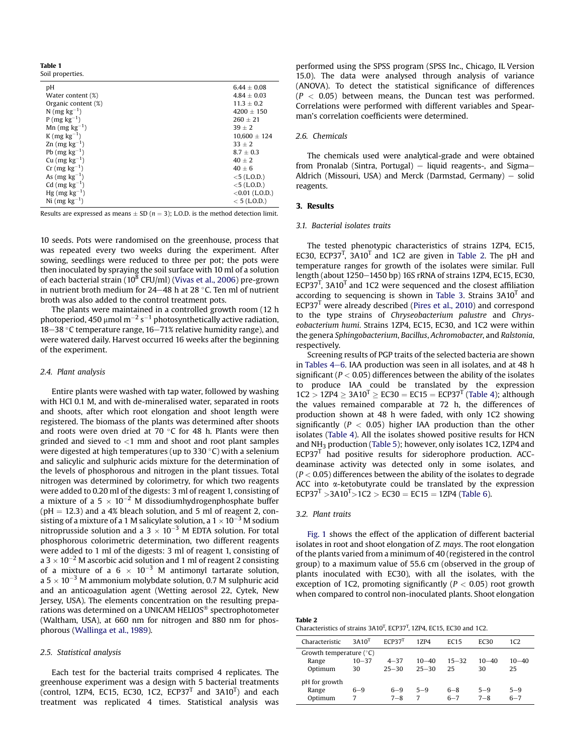<span id="page-2-0"></span>Table 1 Soil properties.

| рH                         | $6.44 \pm 0.08$   |
|----------------------------|-------------------|
| Water content (%)          | $4.84 \pm 0.03$   |
| Organic content (%)        | $11.3 \pm 0.2$    |
| N (mg $kg^{-1}$ )          | $4200 \pm 150$    |
| $P$ (mg kg <sup>-1</sup> ) | $260 \pm 21$      |
| Mn $(mg kg^{-1})$          | $39 + 2$          |
| K (mg $kg^{-1}$ )          | $10.600 \pm 124$  |
| Zn $(mg kg^{-1})$          | $33 + 2$          |
| Pb $(mg kg^{-1})$          | $8.7 \pm 0.3$     |
| Cu $(mg kg^{-1})$          | $40 + 2$          |
| $Cr$ (mg $kg^{-1}$ )       | $40 \pm 6$        |
| As $(mg kg^{-1})$          | $<$ 5 (L.O.D.)    |
| Cd $(mg kg^{-1})$          | $<$ 5 (L.O.D.)    |
| Hg $(mg kg^{-1})$          | $<$ 0.01 (L.O.D.) |
| Ni $(mg kg^{-1})$          | $< 5$ (L.O.D.)    |

Results are expressed as means  $\pm$  SD (n = 3); L.O.D. is the method detection limit.

10 seeds. Pots were randomised on the greenhouse, process that was repeated every two weeks during the experiment. After sowing, seedlings were reduced to three per pot; the pots were then inoculated by spraying the soil surface with 10 ml of a solution of each bacterial strain ( $10^8$  CFU/ml) [\(Vivas et al., 2006](#page-6-0)) pre-grown in nutrient broth medium for 24–48 h at 28  $\degree$ C. Ten ml of nutrient broth was also added to the control treatment pots.

The plants were maintained in a controlled growth room (12 h photoperiod, 450  $\mu$ mol m $^{-2}$  s $^{-1}$  photosynthetically active radiation, 18-38 °C temperature range, 16-71% relative humidity range). and were watered daily. Harvest occurred 16 weeks after the beginning of the experiment.

#### 2.4. Plant analysis

Entire plants were washed with tap water, followed by washing with HCl 0.1 M, and with de-mineralised water, separated in roots and shoots, after which root elongation and shoot length were registered. The biomass of the plants was determined after shoots and roots were oven dried at 70  $\degree$ C for 48 h. Plants were then grinded and sieved to  $<$ 1 mm and shoot and root plant samples were digested at high temperatures (up to 330  $\degree$ C) with a selenium and salicylic and sulphuric acids mixture for the determination of the levels of phosphorous and nitrogen in the plant tissues. Total nitrogen was determined by colorimetry, for which two reagents were added to 0.20 ml of the digests: 3 ml of reagent 1, consisting of a mixture of a  $5 \times 10^{-2}$  M dissodiumhydrogenphosphate buffer ( $pH = 12.3$ ) and a 4% bleach solution, and 5 ml of reagent 2, consisting of a mixture of a 1 M salicylate solution, a 1  $\times$  10<sup>-3</sup> M sodium nitroprusside solution and a  $3 \times 10^{-3}$  M EDTA solution. For total phosphorous colorimetric determination, two different reagents were added to 1 ml of the digests: 3 ml of reagent 1, consisting of a 3  $\times$  10<sup>-2</sup> M ascorbic acid solution and 1 ml of reagent 2 consisting of a mixture of a  $6 \times 10^{-3}$  M antimonyl tartarate solution, a 5  $\times$  10<sup>-3</sup> M ammonium molybdate solution, 0.7 M sulphuric acid and an anticoagulation agent (Wetting aerosol 22, Cytek, New Jersey, USA). The elements concentration on the resulting preparations was determined on a UNICAM HELIOS<sup>®</sup> spectrophotometer (Waltham, USA), at 660 nm for nitrogen and 880 nm for phosphorous [\(Wallinga et al., 1989\)](#page-6-0).

#### 2.5. Statistical analysis

Each test for the bacterial traits comprised 4 replicates. The greenhouse experiment was a design with 5 bacterial treatments (control, 1ZP4, EC15, EC30, 1C2, ECP37 $^{\text{T}}$  and 3A10 $^{\text{T}}$ ) and each treatment was replicated 4 times. Statistical analysis was performed using the SPSS program (SPSS Inc., Chicago, IL Version 15.0). The data were analysed through analysis of variance (ANOVA). To detect the statistical significance of differences  $(P < 0.05)$  between means, the Duncan test was performed. Correlations were performed with different variables and Spearman's correlation coefficients were determined.

#### 2.6. Chemicals

The chemicals used were analytical-grade and were obtained from Pronalab (Sintra, Portugal)  $-$  liquid reagents-, and Sigma-Aldrich (Missouri, USA) and Merck (Darmstad, Germany)  $-$  solid reagents.

## 3. Results

## 3.1. Bacterial isolates traits

The tested phenotypic characteristics of strains 1ZP4, EC15, EC30, ECP37<sup>T</sup>, 3A10<sup>T</sup> and 1C2 are given in Table 2. The pH and temperature ranges for growth of the isolates were similar. Full length (about 1250–1450 bp) 16S rRNA of strains 1ZP4, EC15, EC30, ECP37<sup>T</sup>, 3A10<sup>T</sup> and 1C2 were sequenced and the closest affiliation according to sequencing is shown in [Table 3.](#page-3-0) Strains  $3A10<sup>T</sup>$  and  $ECP37<sup>T</sup>$  were already described [\(Pires et al., 2010](#page-6-0)) and correspond to the type strains of Chryseobacterium palustre and Chryseobacterium humi. Strains 1ZP4, EC15, EC30, and 1C2 were within the genera Sphingobacterium, Bacillus, Achromobacter, and Ralstonia, respectively.

Screening results of PGP traits of the selected bacteria are shown in Tables  $4-6$  $4-6$ . IAA production was seen in all isolates, and at  $48$  h significant ( $P < 0.05$ ) differences between the ability of the isolates to produce IAA could be translated by the expression  $1C2 > 1ZP4 > 3A10^{T} > EC30 = EC15 = ECP37^{T}$  ([Table 4\)](#page-3-0); although the values remained comparable at 72 h, the differences of production shown at 48 h were faded, with only 1C2 showing significantly ( $P < 0.05$ ) higher IAA production than the other isolates [\(Table 4\)](#page-3-0). All the isolates showed positive results for HCN and NH3 production ([Table 5\)](#page-3-0); however, only isolates 1C2, 1ZP4 and  $ECP37<sup>T</sup>$  had positive results for siderophore production. ACCdeaminase activity was detected only in some isolates, and  $(P < 0.05)$  differences between the ability of the isolates to degrade ACC into  $\alpha$ -ketobutyrate could be translated by the expression  $ECP37^T > 3A10^T > 1C2 > EC30 = EC15 = 1ZP4$  [\(Table 6](#page-3-0)).

#### 3.2. Plant traits

[Fig. 1](#page-4-0) shows the effect of the application of different bacterial isolates in root and shoot elongation of Z. mays. The root elongation of the plants varied from a minimum of 40 (registered in the control group) to a maximum value of 55.6 cm (observed in the group of plants inoculated with EC30), with all the isolates, with the exception of 1C2, promoting significantly ( $P < 0.05$ ) root growth when compared to control non-inoculated plants. Shoot elongation

| Table 2                                                                                       |  |
|-----------------------------------------------------------------------------------------------|--|
| Characteristics of strains 3A10 <sup>T</sup> , ECP37 <sup>T</sup> , 1ZP4, EC15, EC30 and 1C2. |  |

| Characteristic            | 3A10 <sup>T</sup> | $FCP37^T$ | 17P4      | FC15      | <b>EC30</b> | 1C2       |
|---------------------------|-------------------|-----------|-----------|-----------|-------------|-----------|
| Growth temperature $(°C)$ |                   |           |           |           |             |           |
| Range                     | $10 - 37$         | $4 - 37$  | $10 - 40$ | $15 - 32$ | $10 - 40$   | $10 - 40$ |
| Optimum                   | 30                | $25 - 30$ | $25 - 30$ | 25        | 30          | 25        |
| pH for growth             |                   |           |           |           |             |           |
| Range                     | 6-9               | $6 - 9$   | $5 - 9$   | $6 - 8$   | $5 - 9$     | $5 - 9$   |
| Optimum                   |                   | $7 - 8$   | 7         | $6 - 7$   | $7 - 8$     | $6 - 7$   |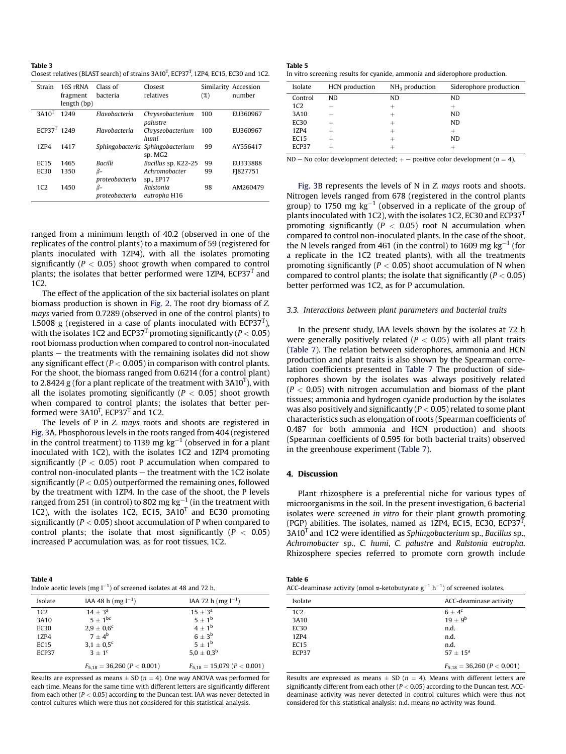<span id="page-3-0"></span>Table 3 Closest relatives (BLAST search) of strains  $3A10^T$ , ECP37<sup>T</sup>, 1ZP4, EC15, EC30 and 1C2.

| Strain            | 16S rRNA<br>fragment<br>length (bp) | Class of<br>bacteria | Closest<br>relatives                        | (%) | Similarity Accession<br>number |
|-------------------|-------------------------------------|----------------------|---------------------------------------------|-----|--------------------------------|
| 3A10 <sup>T</sup> | 1249                                | Flavobacteria        | Chryseobacterium<br>palustre                | 100 | EU360967                       |
| $ECP37^T$ 1249    |                                     | Flavobacteria        | Chryseobacterium<br>humi                    | 100 | EU360967                       |
| 17.P4             | 1417                                |                      | Sphingobacteria Sphingobacterium<br>sp. MG2 | 99  | AY556417                       |
| EC15              | 1465                                | <b>Bacilli</b>       | Bacillus sp. K22-25                         | 99  | EU333888                       |
| EC30              | 1350                                | ß-<br>proteobacteria | Achromobacter<br>sp., EP17                  | 99  | FJ827751                       |
| 1C2               | 1450                                | ß-<br>proteobacteria | Ralstonia<br>eutropha H16                   | 98  | AM260479                       |

ranged from a minimum length of 40.2 (observed in one of the replicates of the control plants) to a maximum of 59 (registered for plants inoculated with 1ZP4), with all the isolates promoting significantly ( $P < 0.05$ ) shoot growth when compared to control plants; the isolates that better performed were 1ZP4,  $ECP37<sup>T</sup>$  and 1C2.

The effect of the application of the six bacterial isolates on plant biomass production is shown in [Fig. 2.](#page-4-0) The root dry biomass of Z. mays varied from 0.7289 (observed in one of the control plants) to 1.5008 g (registered in a case of plants inoculated with ECP37 $<sup>T</sup>$ ),</sup> with the isolates 1C2 and ECP37<sup>T</sup> promoting significantly ( $P < 0.05$ ) root biomass production when compared to control non-inoculated  $plants - the treatments with the remaining isolates did not show$ any significant effect ( $P < 0.005$ ) in comparison with control plants. For the shoot, the biomass ranged from 0.6214 (for a control plant) to 2.8424 g (for a plant replicate of the treatment with 3A10 $^{\rm T}$ ), with all the isolates promoting significantly ( $P < 0.05$ ) shoot growth when compared to control plants; the isolates that better performed were  $3A10^T$ , ECP37<sup>T</sup> and 1C2.

The levels of P in Z. mays roots and shoots are registered in [Fig. 3](#page-4-0)A. Phosphorous levels in the roots ranged from 404 (registered in the control treatment) to 1139 mg kg $^{-1}$  (observed in for a plant inoculated with 1C2), with the isolates 1C2 and 1ZP4 promoting significantly ( $P < 0.05$ ) root P accumulation when compared to control non-inoculated plants  $-$  the treatment with the 1C2 isolate significantly ( $P < 0.05$ ) outperformed the remaining ones, followed by the treatment with 1ZP4. In the case of the shoot, the P levels ranged from 251 (in control) to 802 mg  $\mathrm{kg^{-1}}$  (in the treatment with 1C2), with the isolates 1C2, EC15,  $3A10<sup>T</sup>$  and EC30 promoting significantly ( $P < 0.05$ ) shoot accumulation of P when compared to control plants; the isolate that most significantly ( $P < 0.05$ ) increased P accumulation was, as for root tissues, 1C2.

Table 4 Indole acetic levels (mg  $l^{-1}$ ) of screened isolates at 48 and 72 h.

| Isolate      | IAA 48 h (mg $l^{-1}$ )         | IAA 72 h (mg $l^{-1}$ )         |
|--------------|---------------------------------|---------------------------------|
| 1C2          | $14 + 3^a$                      | $15 \pm 3^{\rm a}$              |
| 3A10         | $5 \pm 1^{\rm bc}$              | $5+1^{b}$                       |
| EC30         | $2.9 \pm 0.6^c$                 | $4+1^{b}$                       |
| 1ZP4         | $7 + 4^b$                       | $6 + 3^b$                       |
| EC15         | $3.1 \pm 0.5^c$                 | $5+1^{b}$                       |
| <b>ECP37</b> | $3 + 1^c$                       | $5.0 \pm 0.3^{\rm b}$           |
|              | $F_{5,18} = 36,260 (P < 0.001)$ | $F_{5,18} = 15,079 (P < 0.001)$ |

Results are expressed as means  $\pm$  SD ( $n = 4$ ). One way ANOVA was performed for each time. Means for the same time with different letters are significantly different from each other ( $P < 0.05$ ) according to the Duncan test. IAA was never detected in control cultures which were thus not considered for this statistical analysis.

| Table 5                                                                     |
|-----------------------------------------------------------------------------|
| In vitro screening results for cyanide, ammonia and siderophore production. |

| Isolate          | HCN production | $NH3$ production | Siderophore production |
|------------------|----------------|------------------|------------------------|
| Control          | ND.            | ND               | ND.                    |
| 1C <sub>2</sub>  |                |                  | $\,$                   |
| 3A10             |                |                  | ND.                    |
| EC <sub>30</sub> |                |                  | ND.                    |
| 1ZP4             |                |                  | +                      |
| EC15             |                |                  | ND.                    |
| ECP37            |                |                  |                        |

ND – No color development detected;  $+$  – positive color development ( $n = 4$ ).

[Fig. 3B](#page-4-0) represents the levels of N in Z. mays roots and shoots. Nitrogen levels ranged from 678 (registered in the control plants group) to 1750 mg  $\text{kg}^{-1}$  (observed in a replicate of the group of plants inoculated with 1C2), with the isolates 1C2, EC30 and ECP37 $<sup>T</sup>$ </sup> promoting significantly ( $P < 0.05$ ) root N accumulation when compared to control non-inoculated plants. In the case of the shoot, the N levels ranged from 461 (in the control) to 1609 mg  $kg^{-1}$  (for a replicate in the 1C2 treated plants), with all the treatments promoting significantly ( $P < 0.05$ ) shoot accumulation of N when compared to control plants; the isolate that significantly ( $P < 0.05$ ) better performed was 1C2, as for P accumulation.

## 3.3. Interactions between plant parameters and bacterial traits

In the present study, IAA levels shown by the isolates at 72 h were generally positively related ( $P < 0.05$ ) with all plant traits ([Table 7\)](#page-5-0). The relation between siderophores, ammonia and HCN production and plant traits is also shown by the Spearman correlation coefficients presented in [Table 7](#page-5-0) The production of siderophores shown by the isolates was always positively related  $(P < 0.05)$  with nitrogen accumulation and biomass of the plant tissues; ammonia and hydrogen cyanide production by the isolates was also positively and significantly ( $P < 0.05$ ) related to some plant characteristics such as elongation of roots (Spearman coefficients of 0.487 for both ammonia and HCN production) and shoots (Spearman coefficients of 0.595 for both bacterial traits) observed in the greenhouse experiment [\(Table 7](#page-5-0)).

## 4. Discussion

Plant rhizosphere is a preferential niche for various types of microorganisms in the soil. In the present investigation, 6 bacterial isolates were screened in vitro for their plant growth promoting (PGP) abilities. The isolates, named as  $1ZP4$ , EC15, EC30, ECP37<sup>T</sup>,  $3A10<sup>T</sup>$  and 1C2 were identified as Sphingobacterium sp., Bacillus sp., Achromobacter sp., C. humi, C. palustre and Ralstonia eutropha. Rhizosphere species referred to promote corn growth include

| Table 6                                                                                              |  |
|------------------------------------------------------------------------------------------------------|--|
| ACC-deaminase activity (nmol $\alpha$ -ketobutyrate $g^{-1}$ h <sup>-1</sup> ) of screened isolates. |  |

| Isolate         | ACC-deaminase activity          |
|-----------------|---------------------------------|
| 1C <sub>2</sub> | $6 \pm 4^c$                     |
| 3A10            | $19 \pm 9^b$                    |
| <b>EC30</b>     | n.d.                            |
| 1ZP4            | n.d.                            |
| EC15            | n.d.                            |
| ECP37           | $57 + 15^{\circ}$               |
|                 | $F_{5,18} = 36,260 (P < 0.001)$ |

Results are expressed as means  $\pm$  SD (n = 4). Means with different letters are significantly different from each other  $(P < 0.05)$  according to the Duncan test. ACCdeaminase activity was never detected in control cultures which were thus not considered for this statistical analysis; n.d. means no activity was found.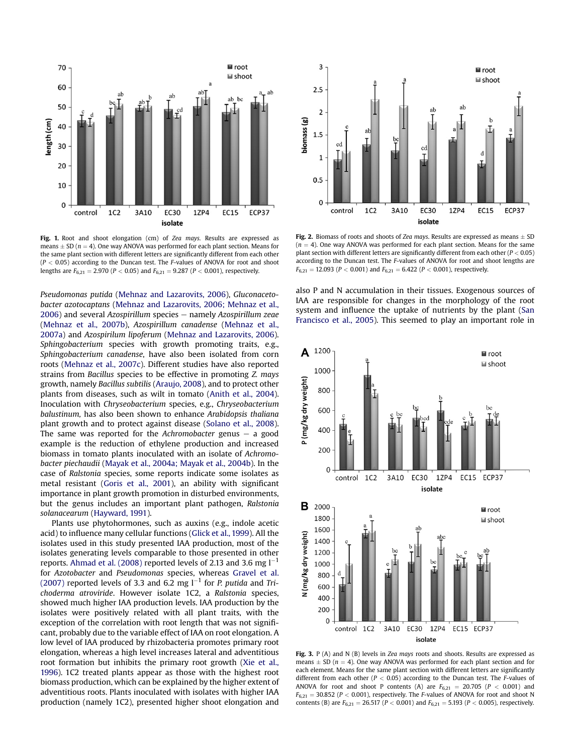<span id="page-4-0"></span>

Fig. 1. Root and shoot elongation (cm) of Zea mays. Results are expressed as means  $\pm$  SD ( $n = 4$ ). One way ANOVA was performed for each plant section. Means for the same plant section with different letters are significantly different from each other  $(P < 0.05)$  according to the Duncan test. The F-values of ANOVA for root and shoot lengths are  $F_{6,21} = 2.970$  ( $P < 0.05$ ) and  $F_{6,21} = 9.287$  ( $P < 0.001$ ), respectively.

Pseudomonas putida ([Mehnaz and Lazarovits, 2006\)](#page-6-0), Gluconacetobacter azotocaptans ([Mehnaz and Lazarovits, 2006; Mehnaz et al.,](#page-6-0)  $2006$ ) and several Azospirillum species  $-$  namely Azospirillum zeae ([Mehnaz et al., 2007b](#page-6-0)), Azospirillum canadense [\(Mehnaz et al.,](#page-6-0) [2007a\)](#page-6-0) and Azospirilum lipoferum [\(Mehnaz and Lazarovits, 2006\)](#page-6-0). Sphingobacterium species with growth promoting traits, e.g., Sphingobacterium canadense, have also been isolated from corn roots ([Mehnaz et al., 2007c\)](#page-6-0). Different studies have also reported strains from Bacillus species to be effective in promoting Z. mays growth, namely Bacillus subtilis [\(Araujo, 2008](#page-6-0)), and to protect other plants from diseases, such as wilt in tomato ([Anith et al., 2004\)](#page-6-0). Inoculation with Chryseobacterium species, e.g., Chryseobacterium balustinum, has also been shown to enhance Arabidopsis thaliana plant growth and to protect against disease [\(Solano et al., 2008\)](#page-6-0). The same was reported for the Achromobacter genus  $-$  a good example is the reduction of ethylene production and increased biomass in tomato plants inoculated with an isolate of Achromobacter piechaudii ([Mayak et al., 2004a; Mayak et al., 2004b\)](#page-6-0). In the case of Ralstonia species, some reports indicate some isolates as metal resistant [\(Goris et al., 2001](#page-6-0)), an ability with significant importance in plant growth promotion in disturbed environments, but the genus includes an important plant pathogen, Ralstonia solanacearum ([Hayward, 1991\)](#page-6-0).

Plants use phytohormones, such as auxins (e.g., indole acetic acid) to influence many cellular functions ([Glick et al., 1999](#page-6-0)). All the isolates used in this study presented IAA production, most of the isolates generating levels comparable to those presented in other reports. [Ahmad et al. \(2008\)](#page-6-0) reported levels of 2.13 and 3.6 mg  $\mathsf{l}^{-1}$ for Azotobacter and Pseudomonas species, whereas [Gravel et al.](#page-6-0) [\(2007\)](#page-6-0) reported levels of 3.3 and 6.2 mg  $l^{-1}$  for *P. putida* and Trichoderma atroviride. However isolate 1C2, a Ralstonia species, showed much higher IAA production levels. IAA production by the isolates were positively related with all plant traits, with the exception of the correlation with root length that was not significant, probably due to the variable effect of IAA on root elongation. A low level of IAA produced by rhizobacteria promotes primary root elongation, whereas a high level increases lateral and adventitious root formation but inhibits the primary root growth ([Xie et al.,](#page-6-0) [1996\)](#page-6-0). 1C2 treated plants appear as those with the highest root biomass production, which can be explained by the higher extent of adventitious roots. Plants inoculated with isolates with higher IAA production (namely 1C2), presented higher shoot elongation and



Fig. 2. Biomass of roots and shoots of Zea mays. Results are expressed as means  $\pm$  SD  $(n = 4)$ . One way ANOVA was performed for each plant section. Means for the same plant section with different letters are significantly different from each other ( $P < 0.05$ ) according to the Duncan test. The F-values of ANOVA for root and shoot lengths are  $F_{6,21} = 12.093$  ( $P < 0.001$ ) and  $F_{6,21} = 6.422$  ( $P < 0.001$ ), respectively.

also P and N accumulation in their tissues. Exogenous sources of IAA are responsible for changes in the morphology of the root system and influence the uptake of nutrients by the plant [\(San](#page-6-0) [Francisco et al., 2005](#page-6-0)). This seemed to play an important role in



Fig. 3. P (A) and N (B) levels in Zea mays roots and shoots. Results are expressed as means  $\pm$  SD ( $n = 4$ ). One way ANOVA was performed for each plant section and for each element. Means for the same plant section with different letters are significantly different from each other ( $P < 0.05$ ) according to the Duncan test. The *F*-values of ANOVA for root and shoot P contents (A) are  $F_{6,21} = 20.705$  (P < 0.001) and  $F_{6,21} = 30.852$  (P < 0.001), respectively. The F-values of ANOVA for root and shoot N contents (B) are  $F_{6,21} = 26.517$  (P < 0.001) and  $F_{6,21} = 5.193$  (P < 0.005), respectively.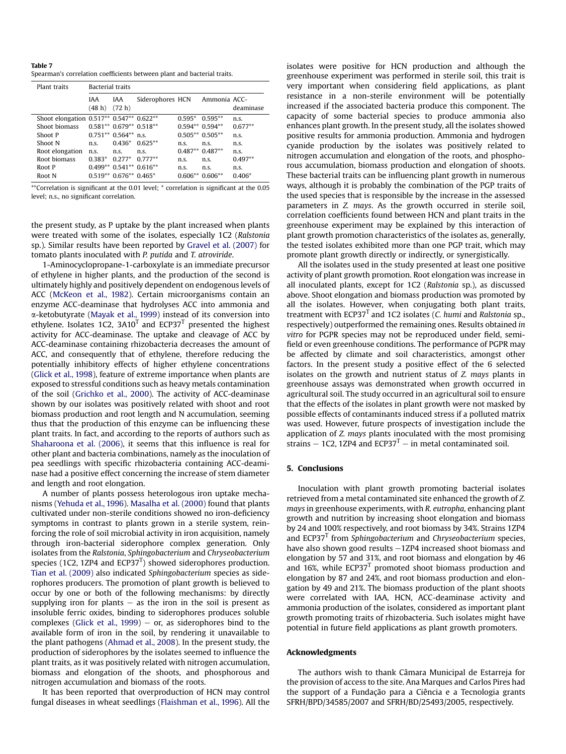<span id="page-5-0"></span>Table 7 Spearman's correlation coefficients between plant and bacterial traits.

| Plant traits                             | <b>Bacterial traits</b> |                         |                  |           |                  |           |
|------------------------------------------|-------------------------|-------------------------|------------------|-----------|------------------|-----------|
|                                          | <b>IAA</b><br>(48 h)    | <b>IAA</b><br>(72 h)    | Siderophores HCN |           | Ammonia ACC-     | deaminase |
| Shoot elongation 0.517** 0.547** 0.622** |                         |                         |                  | $0.595*$  | $0.595**$        | n.s.      |
| Shoot biomass                            |                         | $0.581**0.679**0.518**$ |                  |           | $0.594**0.594**$ | $0.677**$ |
| Shoot P                                  |                         | $0.751**0.564**n.s.$    |                  |           | $0.505**0.505**$ | n.s.      |
| Shoot N                                  | n.s.                    | $0.436*$                | $0.625**$        | n.s.      | n.s.             | n.s.      |
| Root elongation                          | n.s.                    | n.s.                    | n.s.             |           | $0.487**0.487**$ | n.s.      |
| Root biomass                             | $0.383*$                | $0.277*$                | $0.777**$        | n.s.      | n.s.             | $0.497**$ |
| Root P                                   |                         | $0.499**0.541**0.616**$ |                  | n.s.      | n.s.             | n.s.      |
| Root N                                   |                         | $0.519**0.676**0.465*$  |                  | $0.606**$ | $0.606**$        | $0.406*$  |

\*\*Correlation is significant at the 0.01 level; \* correlation is significant at the 0.05 level; n.s., no significant correlation.

the present study, as P uptake by the plant increased when plants were treated with some of the isolates, especially 1C2 (Ralstonia sp.). Similar results have been reported by [Gravel et al. \(2007\)](#page-6-0) for tomato plants inoculated with P. putida and T. atroviride.

1-Aminocyclopropane-1-carboxylate is an immediate precursor of ethylene in higher plants, and the production of the second is ultimately highly and positively dependent on endogenous levels of ACC [\(McKeon et al., 1982](#page-6-0)). Certain microorganisms contain an enzyme ACC-deaminase that hydrolyses ACC into ammonia and a-ketobutyrate [\(Mayak et al., 1999](#page-6-0)) instead of its conversion into ethylene. Isolates 1C2,  $3A10<sup>T</sup>$  and ECP37<sup>T</sup> presented the highest activity for ACC-deaminase. The uptake and cleavage of ACC by ACC-deaminase containing rhizobacteria decreases the amount of ACC, and consequently that of ethylene, therefore reducing the potentially inhibitory effects of higher ethylene concentrations ([Glick et al., 1998\)](#page-6-0), feature of extreme importance when plants are exposed to stressful conditions such as heavy metals contamination of the soil [\(Grichko et al., 2000\)](#page-6-0). The activity of ACC-deaminase shown by our isolates was positively related with shoot and root biomass production and root length and N accumulation, seeming thus that the production of this enzyme can be influencing these plant traits. In fact, and according to the reports of authors such as [Shaharoona et al. \(2006\)](#page-6-0), it seems that this influence is real for other plant and bacteria combinations, namely as the inoculation of pea seedlings with specific rhizobacteria containing ACC-deaminase had a positive effect concerning the increase of stem diameter and length and root elongation.

A number of plants possess heterologous iron uptake mechanisms [\(Yehuda et al., 1996](#page-6-0)). [Masalha et al. \(2000\)](#page-6-0) found that plants cultivated under non-sterile conditions showed no iron-deficiency symptoms in contrast to plants grown in a sterile system, reinforcing the role of soil microbial activity in iron acquisition, namely through iron-bacterial siderophore complex generation. Only isolates from the Ralstonia, Sphingobacterium and Chryseobacterium species (1C2, 1ZP4 and ECP37 $<sup>T</sup>$ ) showed siderophores production.</sup> [Tian et al. \(2009\)](#page-6-0) also indicated Sphingobacterium species as siderophores producers. The promotion of plant growth is believed to occur by one or both of the following mechanisms: by directly supplying iron for plants  $-$  as the iron in the soil is present as insoluble ferric oxides, binding to siderophores produces soluble complexes [\(Glick et al., 1999](#page-6-0)) – or, as siderophores bind to the available form of iron in the soil, by rendering it unavailable to the plant pathogens ([Ahmad et al., 2008\)](#page-6-0). In the present study, the production of siderophores by the isolates seemed to influence the plant traits, as it was positively related with nitrogen accumulation, biomass and elongation of the shoots, and phosphorous and nitrogen accumulation and biomass of the roots.

It has been reported that overproduction of HCN may control fungal diseases in wheat seedlings [\(Flaishman et al., 1996](#page-6-0)). All the isolates were positive for HCN production and although the greenhouse experiment was performed in sterile soil, this trait is very important when considering field applications, as plant resistance in a non-sterile environment will be potentially increased if the associated bacteria produce this component. The capacity of some bacterial species to produce ammonia also enhances plant growth. In the present study, all the isolates showed positive results for ammonia production. Ammonia and hydrogen cyanide production by the isolates was positively related to nitrogen accumulation and elongation of the roots, and phosphorous accumulation, biomass production and elongation of shoots. These bacterial traits can be influencing plant growth in numerous ways, although it is probably the combination of the PGP traits of the used species that is responsible by the increase in the assessed parameters in Z. mays. As the growth occurred in sterile soil, correlation coefficients found between HCN and plant traits in the greenhouse experiment may be explained by this interaction of plant growth promotion characteristics of the isolates as, generally, the tested isolates exhibited more than one PGP trait, which may promote plant growth directly or indirectly, or synergistically.

All the isolates used in the study presented at least one positive activity of plant growth promotion. Root elongation was increase in all inoculated plants, except for 1C2 (Ralstonia sp.), as discussed above. Shoot elongation and biomass production was promoted by all the isolates. However, when conjugating both plant traits, treatment with ECP37 $<sup>T</sup>$  and 1C2 isolates (C. humi and Ralstonia sp.,</sup> respectively) outperformed the remaining ones. Results obtained in vitro for PGPR species may not be reproduced under field, semifield or even greenhouse conditions. The performance of PGPR may be affected by climate and soil characteristics, amongst other factors. In the present study a positive effect of the 6 selected isolates on the growth and nutrient status of Z. mays plants in greenhouse assays was demonstrated when growth occurred in agricultural soil. The study occurred in an agricultural soil to ensure that the effects of the isolates in plant growth were not masked by possible effects of contaminants induced stress if a polluted matrix was used. However, future prospects of investigation include the application of Z. mays plants inoculated with the most promising strains  $-$  1C2, 1ZP4 and ECP37<sup>T</sup>  $-$  in metal contaminated soil.

## 5. Conclusions

Inoculation with plant growth promoting bacterial isolates retrieved from a metal contaminated site enhanced the growth of Z. mays in greenhouse experiments, with R. eutropha, enhancing plant growth and nutrition by increasing shoot elongation and biomass by 24 and 100% respectively, and root biomass by 34%. Strains 1ZP4 and ECP37 $<sup>T</sup>$  from Sphingobacterium and Chryseobacterium species,</sup> have also shown good results -1ZP4 increased shoot biomass and elongation by 57 and 31%, and root biomass and elongation by 46 and 16%, while  $ECP37<sup>T</sup>$  promoted shoot biomass production and elongation by 87 and 24%, and root biomass production and elongation by 49 and 21%. The biomass production of the plant shoots were correlated with IAA, HCN, ACC-deaminase activity and ammonia production of the isolates, considered as important plant growth promoting traits of rhizobacteria. Such isolates might have potential in future field applications as plant growth promoters.

#### Acknowledgments

The authors wish to thank Câmara Municipal de Estarreja for the provision of access to the site. Ana Marques and Carlos Pires had the support of a Fundação para a Ciência e a Tecnologia grants SFRH/BPD/34585/2007 and SFRH/BD/25493/2005, respectively.